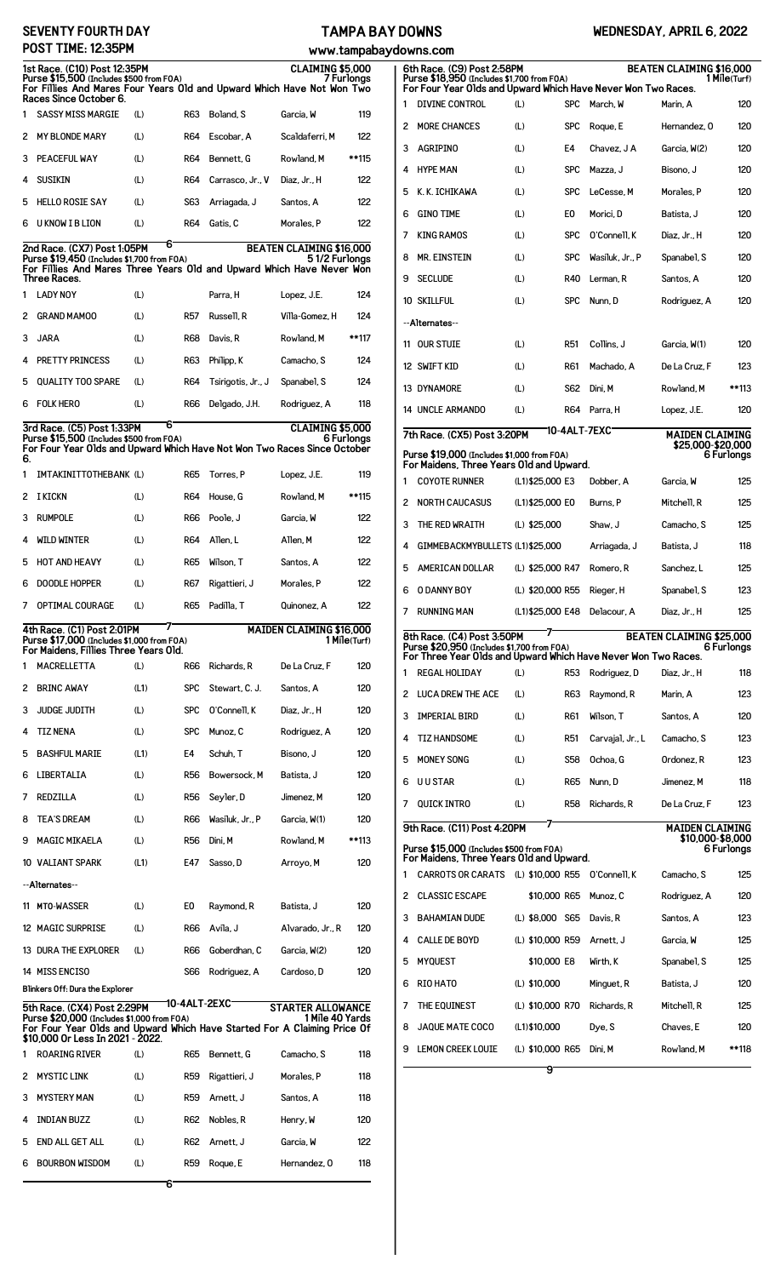| <b>SEVENTY FOURTH DAY</b> |  |
|---------------------------|--|
| POST TIME: 12:35PM        |  |

## **TAMPA BAY DOWNS**

## **WEDNESDAY, APRIL 6, 2022**

|                                                                                                                                                                                             | POST TIME: 12:35PM                                                                                                                                                 |      |                 |                             | www.tampaba                                 |            |
|---------------------------------------------------------------------------------------------------------------------------------------------------------------------------------------------|--------------------------------------------------------------------------------------------------------------------------------------------------------------------|------|-----------------|-----------------------------|---------------------------------------------|------------|
| 1st Race. (C10) Post 12:35PM<br><b>CLAIMING \$5,000</b><br>Purse \$15,500 (Includes \$500 from FOA)<br>7 Furlongs<br>For Fillies And Mares Four Years Old and Upward Which Have Not Won Two |                                                                                                                                                                    |      |                 |                             |                                             |            |
| 1                                                                                                                                                                                           | Races Since October 6.<br><b>SASSY MISS MARGIE</b>                                                                                                                 | (L)  | R63             | Boland, S                   | Garcia, W                                   | 119        |
| 2                                                                                                                                                                                           | <b>MY BLONDE MARY</b>                                                                                                                                              | (L)  | R64             | Escobar, A                  | Scaldaferri, M                              | 122        |
| 3                                                                                                                                                                                           | PEACEFUL WAY                                                                                                                                                       | (L)  | <b>R64</b>      | Bennett, G                  | Rowland, M                                  | **115      |
| 4                                                                                                                                                                                           | <b>SUSIKIN</b>                                                                                                                                                     | (L)  | R64             | Carrasco, Jr., V            | Diaz, Jr., H                                | 122        |
| 5                                                                                                                                                                                           | <b>HELLO ROSIE SAY</b>                                                                                                                                             | (L)  | S63             | Arriagada, J                | Santos, A                                   | 122        |
| 6                                                                                                                                                                                           | <b>U KNOW I B LION</b>                                                                                                                                             | (L)  | <b>R64</b>      | Gatis, C                    | Morales, P                                  | 122        |
|                                                                                                                                                                                             |                                                                                                                                                                    | 6    |                 |                             | <b>BEATEN CLAIMING \$16,000</b>             |            |
|                                                                                                                                                                                             | 2nd Race. (CX7) Post 1:05PM<br>Purse \$19,450 (Includes \$1,700 from FOA)<br>For Fillies And Mares Three Years Old and Upward Which Have Never Won<br>Three Races. |      |                 |                             | 51/2 Furlongs                               |            |
| 1                                                                                                                                                                                           | <b>LADY NOY</b>                                                                                                                                                    | (L)  |                 | Parra, H                    | Lopez, J.E.                                 | 124        |
| 2                                                                                                                                                                                           | <b>GRAND MAMOO</b>                                                                                                                                                 | (L)  | <b>R57</b>      | Russell, R                  | Villa-Gomez, H                              | 124        |
| 3                                                                                                                                                                                           | <b>JARA</b>                                                                                                                                                        | (L)  | R68             | Davis, R                    | Rowland, M                                  | **117      |
| 4                                                                                                                                                                                           | <b>PRETTY PRINCESS</b>                                                                                                                                             | (L)  | R63             | Philipp, K                  | Camacho, S                                  | 124        |
| 5                                                                                                                                                                                           | <b>QUALITY TOO SPARE</b>                                                                                                                                           | (L)  | R64             | Tsirigotis, Jr., J          | Spanabel, S                                 | 124        |
| 6                                                                                                                                                                                           | <b>FOLK HERO</b>                                                                                                                                                   | (L)  | <b>R66</b>      | Delgado, J.H.               | Rodriguez, A                                | 118        |
|                                                                                                                                                                                             | 3rd Race. (C5) Post 1:33PM                                                                                                                                         | 6    |                 |                             | CLAIMING \$5,000                            |            |
|                                                                                                                                                                                             | Purse \$15,500 (Includes \$500 from FOA)<br>For Four Year Olds and Upward Which Have Not Won Two Races Since October                                               |      |                 |                             |                                             | 6 Furlongs |
| 6.<br>1                                                                                                                                                                                     | IMTAKINITTOTHEBANK (L)                                                                                                                                             |      | R65             | Torres, P                   | Lopez, J.E.                                 | 119        |
| 2                                                                                                                                                                                           | I KICKN                                                                                                                                                            | (L)  | R64             | House, G                    | Rowland, M                                  | **115      |
| 3                                                                                                                                                                                           | <b>RUMPOLE</b>                                                                                                                                                     | (L)  | R66             | Poole, J                    | Garcia, W                                   | 122        |
| 4                                                                                                                                                                                           | WILD WINTER                                                                                                                                                        | (L)  | R64             | Allen, L                    | Allen, M                                    | 122        |
| 5                                                                                                                                                                                           | <b>HOT AND HEAVY</b>                                                                                                                                               | (L)  | R65             | Wilson, T                   | Santos, A                                   | 122        |
| 6                                                                                                                                                                                           | <b>DOODLE HOPPER</b>                                                                                                                                               |      |                 |                             | Morales, P                                  |            |
|                                                                                                                                                                                             |                                                                                                                                                                    | (L)  | R67             | Rigattieri, J<br>Padilla. T |                                             | 122        |
| 7                                                                                                                                                                                           | <b>OPTIMAL COURAGE</b>                                                                                                                                             | (L)  | R65             |                             | Quinonez, A                                 | 122        |
| <b>MAIDEN CLAIMING \$16,000</b><br>4th Race. (C1) Post 2:01PM<br>Purse \$17,000 (Includes \$1,000 from FOA)<br>1 Mile(Turf)<br>For Maidens, Fillies Three Years Old.                        |                                                                                                                                                                    |      |                 |                             |                                             |            |
|                                                                                                                                                                                             |                                                                                                                                                                    |      |                 |                             |                                             |            |
| 1                                                                                                                                                                                           | MACRELLETTA                                                                                                                                                        | (L)  | R66             | Richards, R                 | De La Cruz. F                               | 120        |
| 2                                                                                                                                                                                           | <b>BRINC AWAY</b>                                                                                                                                                  | (L1) | <b>SPC</b>      | Stewart, C. J.              | Santos, A                                   | 120        |
| 3                                                                                                                                                                                           | JUDGE JUDITH                                                                                                                                                       | (L)  | <b>SPC</b>      | 0'Connell, K                | Diaz, Jr., H                                | 120        |
| 4                                                                                                                                                                                           | <b>TIZ NENA</b>                                                                                                                                                    | (L)  | <b>SPC</b>      | Munoz, C                    | Rodriguez, A                                | 120        |
| 5                                                                                                                                                                                           | <b>BASHFUL MARIE</b>                                                                                                                                               | (L1) | E4              | Schuh. T                    | Bisono, J                                   | 120        |
| 6                                                                                                                                                                                           | LIBERTALIA                                                                                                                                                         | (L)  | <b>R56</b>      | Bowersock, M                | Batista, J                                  | 120        |
| 7                                                                                                                                                                                           | REDZILLA                                                                                                                                                           | (L)  | R <sub>56</sub> | Seyler, D                   | Jimenez. M                                  | 120        |
| 8                                                                                                                                                                                           | <b>TEA'S DREAM</b>                                                                                                                                                 | (L)  | R66             | Wasiluk, Jr., P             | Garcia, W(1)                                | 120        |
| 9                                                                                                                                                                                           | <b>MAGIC MIKAELA</b>                                                                                                                                               | (L)  | R <sub>56</sub> | Dini. M                     | Rowland, M                                  | **113      |
|                                                                                                                                                                                             | 10 VALIANT SPARK                                                                                                                                                   | (L1) | E47             | Sasso.D                     | Arroyo, M                                   | 120        |
|                                                                                                                                                                                             | --Alternates--                                                                                                                                                     |      |                 |                             |                                             |            |
|                                                                                                                                                                                             | 11 MTO-WASSER                                                                                                                                                      | (L)  | E0              | Raymond, R                  | Batista, J                                  | 120        |
|                                                                                                                                                                                             | 12 MAGIC SURPRISE                                                                                                                                                  | (L)  | R66             | Avila. J                    | Alvarado, Jr., R                            | 120        |
|                                                                                                                                                                                             | 13 DURA THE EXPLORER                                                                                                                                               | (L)  | R66             | Goberdhan, C                | Garcia, W(2)                                | 120        |
|                                                                                                                                                                                             | <b>14 MISS ENCISO</b>                                                                                                                                              |      | <b>S66</b>      | Rodriguez, A                | Cardoso, D                                  | 120        |
|                                                                                                                                                                                             | Blinkers Off: Dura the Explorer                                                                                                                                    |      |                 |                             |                                             |            |
|                                                                                                                                                                                             | 5th Race. (CX4) Post 2:29PM<br>Purse \$20,000 (Includes \$1,000 from FOA)<br>For Four Year Olds and Upward Which Have Started For A Claiming Price Of              |      |                 | 10-4ALT-2EXC                | <b>STARTER ALLOWANCE</b><br>1 Mile 40 Yards |            |
| 1                                                                                                                                                                                           | \$10,000 Or Less In 2021 - 2022.<br><b>ROARING RIVER</b>                                                                                                           | (L)  | R65             | Bennett, G                  | Camacho, S                                  | 118        |
| 2                                                                                                                                                                                           | <b>MYSTIC LINK</b>                                                                                                                                                 | (L)  | <b>R59</b>      | Rigattieri, J               | Morales, P                                  | 118        |
| 3                                                                                                                                                                                           | <b>MYSTERY MAN</b>                                                                                                                                                 | (L)  | <b>R59</b>      | Arnett, J                   | Santos, A                                   | 118        |
| 4                                                                                                                                                                                           | <b>INDIAN BUZZ</b>                                                                                                                                                 | (L)  | R62             | Nobles, R                   | Henry, W                                    | 120        |
| 5                                                                                                                                                                                           | <b>END ALL GET ALL</b>                                                                                                                                             | (L)  | R62             | Arnett, J                   | Garcia, W                                   | 122        |
| 6                                                                                                                                                                                           | <b>BOURBON WISDOM</b>                                                                                                                                              | (L)  | R59             | Roque, E                    | Hernandez, 0                                | 118        |

|    | aydowns.com                                                                                                                                |                   |            |                  |                                             |              |
|----|--------------------------------------------------------------------------------------------------------------------------------------------|-------------------|------------|------------------|---------------------------------------------|--------------|
|    | 6th Race. (C9) Post 2:58PM<br>Purse \$18,950 (Includes \$1,700 from FOA)<br>For Four Year Olds and Upward Which Have Never Won Two Races.  |                   |            |                  | <b>BEATEN CLAIMING \$16,000</b>             | 1 Mile(Turf) |
| 1  | <b>DIVINE CONTROL</b>                                                                                                                      | (L)               | <b>SPC</b> | March, W         | Marin. A                                    | 120          |
| 2  | <b>MORE CHANCES</b>                                                                                                                        | (L)               | <b>SPC</b> | Roque, E         | Hernandez, 0                                | 120          |
| 3  | <b>AGRIPINO</b>                                                                                                                            | (L)               | E4         | Chavez, J A      | Garcia, W(2)                                | 120          |
| 4  | <b>HYPE MAN</b>                                                                                                                            | (L)               | <b>SPC</b> | Mazza. J         | Bisono, J                                   | 120          |
| 5  | K. K. ICHIKAWA                                                                                                                             | (L)               | <b>SPC</b> | LeCesse, M       | Morales, P                                  | 120          |
| 6  | <b>GINO TIME</b>                                                                                                                           | (L)               | E0         | Morici, D        | Batista. J                                  | 120          |
| 7  | <b>KING RAMOS</b>                                                                                                                          | (L)               | <b>SPC</b> | 0'Connell, K     | Diaz, Jr., H                                | 120          |
| 8  | <b>MR. EINSTEIN</b>                                                                                                                        | (L)               | <b>SPC</b> | Wasiluk, Jr., P  | Spanabel, S                                 | 120          |
| 9  | <b>SECLUDE</b>                                                                                                                             | (L)               | R40        | Lerman, R        | Santos, A                                   | 120          |
|    | 10 SKILLFUL                                                                                                                                | (L)               | <b>SPC</b> | Nunn. D          | Rodriguez, A                                | 120          |
|    | --Alternates--                                                                                                                             |                   |            |                  |                                             |              |
| 11 | <b>OUR STUIE</b>                                                                                                                           | (L)               | R51        | Collins. J       | Garcia. W(1)                                | 120          |
|    | 12 SWIFT KID                                                                                                                               | (L)               | R61        | Machado, A       | De La Cruz, F                               | 123          |
|    | 13 DYNAMORE                                                                                                                                | (L)               | S62        | Dini, M          | Rowland, M                                  | **113        |
|    | <b>14 UNCLE ARMANDO</b>                                                                                                                    | (L)               | R64        | Parra, H         | Lopez, J.E.                                 | 120          |
|    |                                                                                                                                            |                   |            | 10-4ALT-7EXC     |                                             |              |
|    | 7th Race. (CX5) Post 3:20PM<br>Purse \$19,000 (Includes \$1,000 from FOA)                                                                  |                   |            |                  | <b>MAIDEN CLAIMING</b><br>\$25,000-\$20,000 | 6 Furlongs   |
|    | For Maidens, Three Years Old and Upward.                                                                                                   |                   |            |                  |                                             |              |
| 1  | <b>COYOTE RUNNER</b>                                                                                                                       | (L1)\$25,000 E3   |            | Dobber, A        | Garcia, W                                   | 125          |
| 2  | <b>NORTH CAUCASUS</b>                                                                                                                      | (L1)\$25,000 E0   |            | Burns, P         | Mitchell, R                                 | 125          |
| 3  | THE RED WRAITH                                                                                                                             | (L) \$25,000      |            | Shaw, J          | Camacho, S                                  | 125          |
| 4  | GIMMEBACKMYBULLETS (L1)\$25,000                                                                                                            |                   |            | Arriagada, J     | Batista, J                                  | 118          |
| 5  | AMERICAN DOLLAR                                                                                                                            | (L) \$25,000 R47  |            | Romero, R        | Sanchez, L                                  | 125          |
| 6  | O DANNY BOY                                                                                                                                | (L) \$20,000 R55  |            | Rieger, H        | Spanabel, S                                 | 123          |
| 7  | <b>RUNNING MAN</b>                                                                                                                         | (L1) \$25,000 E48 |            | Delacour, A      | Diaz, Jr., H                                | 125          |
|    | 8th Race. (C4) Post 3:50PM<br>Purse \$20,950 (Includes \$1,700 from FOA)<br>For Three Year Olds and Upward Which Have Never Won Two Races. |                   |            |                  | <b>BEATEN CLAIMING \$25,000</b>             | 6 Furlongs   |
| 1  | <b>REGAL HOLIDAY</b>                                                                                                                       | (L)               | R53        | Rodriguez, D     | Diaz, Jr., H                                | 118          |
| 2  | LUCA DREW THE ACE                                                                                                                          | (L)               | R63        | Raymond, R       | Marin, A                                    | 123          |
| 3  | <b>IMPERIAL BIRD</b>                                                                                                                       | (L)               | R61        | Wilson, T        | Santos, A                                   | 120          |
| 4  | <b>TIZ HANDSOME</b>                                                                                                                        | (L)               | R51        | Carvaial, Jr., L | Camacho, S                                  | 123          |
| 5  | <b>MONEY SONG</b>                                                                                                                          | (L)               | S58        | Ochoa, G         | Ordonez, R                                  | 123          |
| 6  | <b>UUSTAR</b>                                                                                                                              | (L)               | <b>R65</b> | Nunn, D          | Jimenez, M                                  | 118          |
| 7  | <b>QUICK INTRO</b>                                                                                                                         | (L)               | R58        | Richards, R      | De La Cruz, F                               | 123          |
|    |                                                                                                                                            |                   |            |                  |                                             |              |
|    | 9th Race. (C11) Post 4:20PM                                                                                                                |                   |            |                  | <b>MAIDEN CLAIMING</b><br>\$10,000-\$8,000  |              |
|    | Purse \$15,000 (Includes \$500 from FOA)<br>For Maidens, Three Years Old and Upward.                                                       |                   |            |                  |                                             | 6 Furlongs   |
| 1  | <b>CARROTS OR CARATS</b>                                                                                                                   | (L) \$10,000 R55  |            | 0'Connell, K     | Camacho, S                                  | 125          |
| 2  | <b>CLASSIC ESCAPE</b>                                                                                                                      | \$10,000 R65      |            | Munoz, C         | Rodriguez, A                                | 120          |
| 3  | <b>BAHAMIAN DUDE</b>                                                                                                                       | (L) \$8,000 S65   |            | Davis, R         | Santos, A                                   | 123          |
| 4  | <b>CALLE DE BOYD</b>                                                                                                                       | (L) \$10,000 R59  |            | Arnett, J        | Garcia, W                                   | 125          |
| 5  | <b>MYQUEST</b>                                                                                                                             | \$10,000 E8       |            | Wirth, K         | Spanabel, S                                 | 125          |
| 6  | RIO HATO                                                                                                                                   | (L) \$10,000      |            | Minguet, R       | Batista, J                                  | 120          |
| 7  | THE EQUINEST                                                                                                                               | (L) \$10,000 R70  |            | Richards. R      | Mitchell, R                                 | 125          |
| 8  | <b>JAQUE MATE COCO</b>                                                                                                                     | $(L1)$ \$10,000   |            | Dye, S           | Chaves, E                                   | 120          |
| 9  | <b>LEMON CREEK LOUIE</b>                                                                                                                   | (L) \$10,000 R65  |            | Dini, M          | Rowland, M                                  | **118        |
|    |                                                                                                                                            | 9                 |            |                  |                                             |              |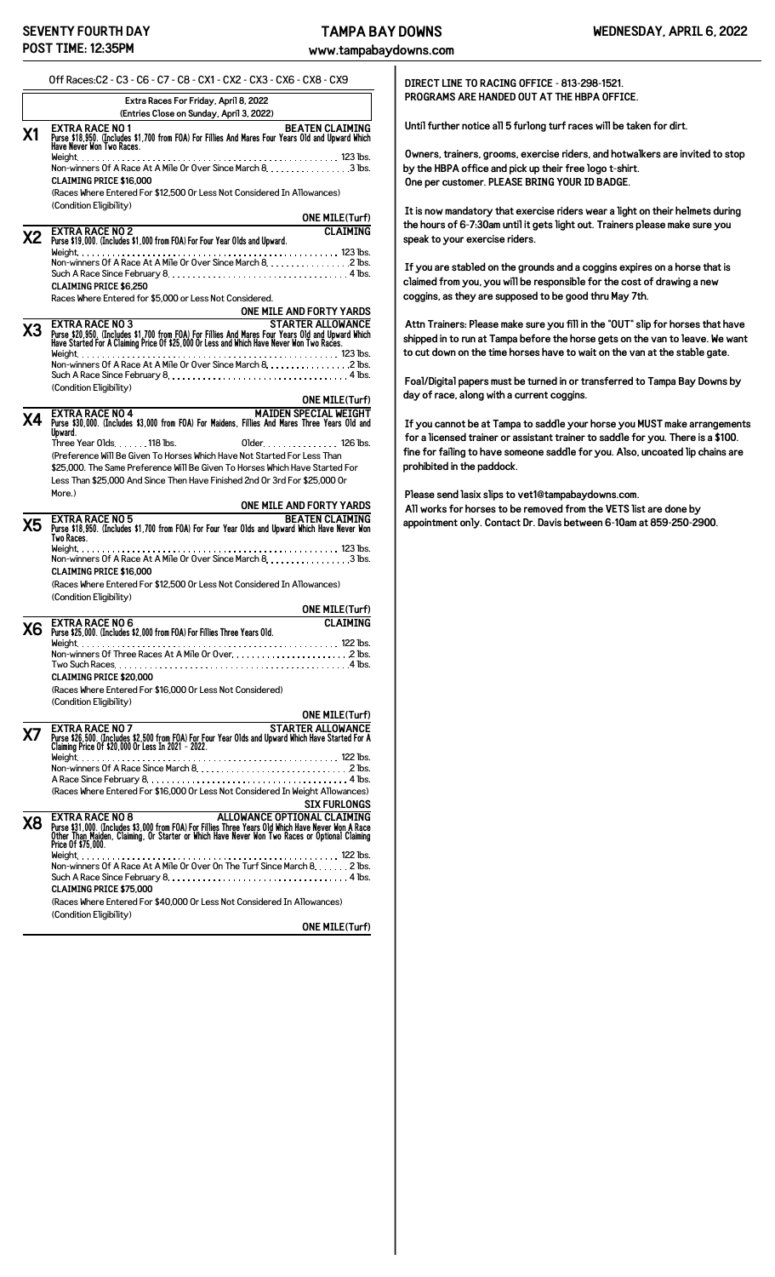**www.tampabaydowns.com**

|                      | Extra Races For Friday, April 8, 2022<br>(Entries Close on Sunday, April 3, 2022)                                                                                                                                                                                                                                                                                                                                                                                                                                                                                                                       |
|----------------------|---------------------------------------------------------------------------------------------------------------------------------------------------------------------------------------------------------------------------------------------------------------------------------------------------------------------------------------------------------------------------------------------------------------------------------------------------------------------------------------------------------------------------------------------------------------------------------------------------------|
| Χ1                   | <b>BEATEN CLAIMING</b><br>EXTRA RACE NO 1<br>Purse \$18,950. (Includes \$1,700 from FOA) For Fillies And Mares Four Years Old and Upward Which<br>Have Never Won Two Races.                                                                                                                                                                                                                                                                                                                                                                                                                             |
|                      | <b>CLAIMING PRICE \$16.000</b>                                                                                                                                                                                                                                                                                                                                                                                                                                                                                                                                                                          |
|                      | (Races Where Entered For \$12,500 Or Less Not Considered In Allowances)<br>(Condition Eligibility)                                                                                                                                                                                                                                                                                                                                                                                                                                                                                                      |
|                      | <b>ONE MILE(Turf)</b><br><b>CLAIMING</b><br><b>EXTRA RACE NO 2</b>                                                                                                                                                                                                                                                                                                                                                                                                                                                                                                                                      |
| Х2                   | Purse \$19,000. (Includes \$1,000 from FOA) For Four Year Olds and Upward.<br>Non-winners Of A Race At A Mile Or Over Since March 8. 2 lbs.                                                                                                                                                                                                                                                                                                                                                                                                                                                             |
|                      | <b>CLAIMING PRICE \$6.250</b>                                                                                                                                                                                                                                                                                                                                                                                                                                                                                                                                                                           |
|                      | Races Where Entered for \$5,000 or Less Not Considered.<br>ONE MILE AND FORTY YARDS                                                                                                                                                                                                                                                                                                                                                                                                                                                                                                                     |
| X3                   | <b>EXTRA RACE NO 3</b><br><b>STARTER ALLOWANCE</b><br>Purse \$20,950. (Includes \$1,700 from FOA) For Fillies And Mares Four Years Old and Upward Which<br>Have Started For A Claiming Price Of \$25,000 Or Less and Which Have Never Won Two Races.                                                                                                                                                                                                                                                                                                                                                    |
|                      | Non-winners Of A Race At A Mile Or Over Since March 8. 2 lbs.<br>Such A Race Since February $8, \ldots, \ldots, \ldots, \ldots, \ldots, \ldots, \ldots, \ldots, 4$ lbs.                                                                                                                                                                                                                                                                                                                                                                                                                                 |
|                      | (Condition Eligibility)<br><b>ONE MILE(Turf)</b>                                                                                                                                                                                                                                                                                                                                                                                                                                                                                                                                                        |
| Χ4                   | <b>EXTRA RACE NO 4</b><br><b>MAIDEN SPECIAL WEIGHT</b><br>Purse \$30,000. (Includes \$3,000 from FOA) For Maidens, Fillies And Mares Three Years Old and<br>Upward.                                                                                                                                                                                                                                                                                                                                                                                                                                     |
|                      | Three Year Olds. 118 lbs.<br>Older. 126 lbs.<br>(Preference Will Be Given To Horses Which Have Not Started For Less Than                                                                                                                                                                                                                                                                                                                                                                                                                                                                                |
|                      | \$25,000. The Same Preference Will Be Given To Horses Which Have Started For                                                                                                                                                                                                                                                                                                                                                                                                                                                                                                                            |
|                      | Less Than \$25,000 And Since Then Have Finished 2nd Or 3rd For \$25,000 Or<br>More.)                                                                                                                                                                                                                                                                                                                                                                                                                                                                                                                    |
|                      | ONE MILE AND FORTY YARDS<br><b>BEATEN CLAIMING</b><br><b>EXTRA RACE NO 5</b>                                                                                                                                                                                                                                                                                                                                                                                                                                                                                                                            |
|                      |                                                                                                                                                                                                                                                                                                                                                                                                                                                                                                                                                                                                         |
|                      | Two Races.<br><b>CLAIMING PRICE \$16.000</b><br>(Races Where Entered For \$12,500 Or Less Not Considered In Allowances)<br>(Condition Eligibility)                                                                                                                                                                                                                                                                                                                                                                                                                                                      |
|                      |                                                                                                                                                                                                                                                                                                                                                                                                                                                                                                                                                                                                         |
|                      | EXTRA RACE NO 6<br>Purse \$25,000. (Includes \$2,000 from FOA) For Fillies Three Years Old.<br>Weight.                                                                                                                                                                                                                                                                                                                                                                                                                                                                                                  |
|                      | $122$ lbs<br><b>CLAIMING PRICE \$20,000</b>                                                                                                                                                                                                                                                                                                                                                                                                                                                                                                                                                             |
|                      | Purse \$18,950. (Includes \$1,700 from FOA) For Four Year Olds and Upward Which Have Never Won<br>Non-winners Of A Race At A Mile Or Over Since March 8. 3 lbs.<br><b>ONE MILE(Turf)</b><br><b>CLAIMING</b><br>(Races Where Entered For \$16,000 Or Less Not Considered)<br>(Condition Eligibility)                                                                                                                                                                                                                                                                                                     |
|                      | EXTRA RACE NO 7                                                                                                                                                                                                                                                                                                                                                                                                                                                                                                                                                                                         |
|                      |                                                                                                                                                                                                                                                                                                                                                                                                                                                                                                                                                                                                         |
|                      | <b>ONE MILE(Turf)</b><br><b>STARTER ALLOWANCE</b><br>Purse \$26,500. (Includes \$2,500 from FOA) For Four Year Olds and Upward Which Have Started For A<br>Claiming Price Of \$20,000 Or Less In 2021 - 2022.<br>(Races Where Entered For \$16,000 Or Less Not Considered In Weight Allowances)                                                                                                                                                                                                                                                                                                         |
|                      | EXTRA RACE NO 8                                                                                                                                                                                                                                                                                                                                                                                                                                                                                                                                                                                         |
|                      | <b>CLAIMING PRICE \$75,000</b>                                                                                                                                                                                                                                                                                                                                                                                                                                                                                                                                                                          |
| Х5<br>Х6<br>Х7<br>Х8 | <b>SIX FURLONGS</b><br>ALLOWANCE OPTIONAL CLAIMING<br>Purse \$31,000. (Includes \$3,000 from FOA) For Fillies Three Years Old Which Have Never Won A Race<br>Other Than Maiden, Claiming, Or Starter or Which Have Never Won Two Races or Optional Claiming<br>Price Of \$75,000.<br>Non-winners Of A Race At A Mile Or Over On The Turf Since March 8. 2 lbs.<br>Such A Race Since February $8, \ldots, \ldots, \ldots, \ldots, \ldots, \ldots, \ldots, \ldots, 4$ lbs.<br>(Races Where Entered For \$40,000 Or Less Not Considered In Allowances)<br>(Condition Eligibility)<br><b>ONE MILE(Turf)</b> |

**DIRECT LINE TO RACING OFFICE - 813-298-1521. PROGRAMS ARE HANDED OUT AT THE HBPA OFFICE.**

**Until further notice all 5 furlong turf races will be taken for dirt.**

**Owners, trainers, grooms, exercise riders, and hotwalkers are invited to stop by the HBPA office and pick up their free logo t-shirt. One per customer. PLEASE BRING YOUR ID BADGE.**

**It is now mandatory that exercise riders wear a light on their helmets during the hours of 6-7:30am until it gets light out. Trainers please make sure you speak to your exercise riders.**

**If you are stabled on the grounds and a coggins expires on a horse that is claimed from you, you will be responsible for the cost of drawing a new coggins, as they are supposed to be good thru May 7th.**

**Attn Trainers: Please make sure you fill in the "OUT" slip for horses that have shipped in to run at Tampa before the horse gets on the van to leave. We want to cut down on the time horses have to wait on the van at the stable gate.**

**Foal/Digital papers must be turned in or transferred to Tampa Bay Downs by day of race, along with a current coggins.**

**If you cannot be at Tampa to saddle your horse you MUST make arrangements for a licensed trainer or assistant trainer to saddle for you. There is a \$100. fine for failing to have someone saddle for you. Also, uncoated lip chains are prohibited in the paddock.**

**Please send lasix slips to vet1@tampabaydowns.com. All works for horses to be removed from the VETS list are done by appointment only. Contact Dr. Davis between 6-10am at 859-250-2900.**